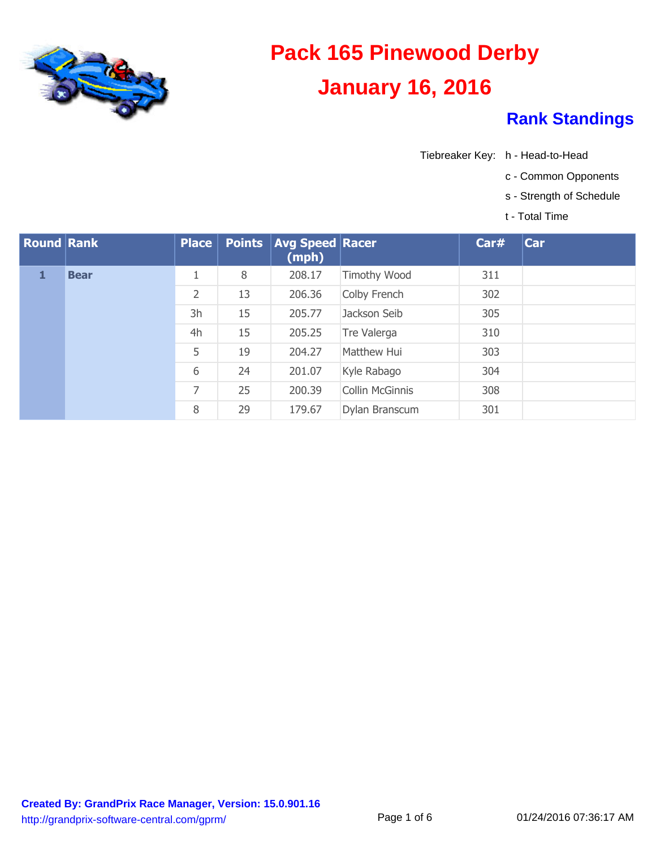

- Tiebreaker Key: h Head-to-Head
	- c Common Opponents
	- s Strength of Schedule
	- t Total Time

| <b>Round Rank</b> |             | $Place \vert$  |    | <b>Points   Avg Speed   Racer</b><br>(mph) |                        | Car# | <b>Car</b> |
|-------------------|-------------|----------------|----|--------------------------------------------|------------------------|------|------------|
|                   | <b>Bear</b> |                | 8  | 208.17                                     | <b>Timothy Wood</b>    | 311  |            |
|                   |             | $\overline{2}$ | 13 | 206.36                                     | Colby French           | 302  |            |
|                   |             | 3h             | 15 | 205.77                                     | Jackson Seib           | 305  |            |
|                   |             | 4h             | 15 | 205.25                                     | Tre Valerga            | 310  |            |
|                   |             | 5              | 19 | 204.27                                     | Matthew Hui            | 303  |            |
|                   |             | 6              | 24 | 201.07                                     | Kyle Rabago            | 304  |            |
|                   |             | 7              | 25 | 200.39                                     | <b>Collin McGinnis</b> | 308  |            |
|                   |             | 8              | 29 | 179.67                                     | Dylan Branscum         | 301  |            |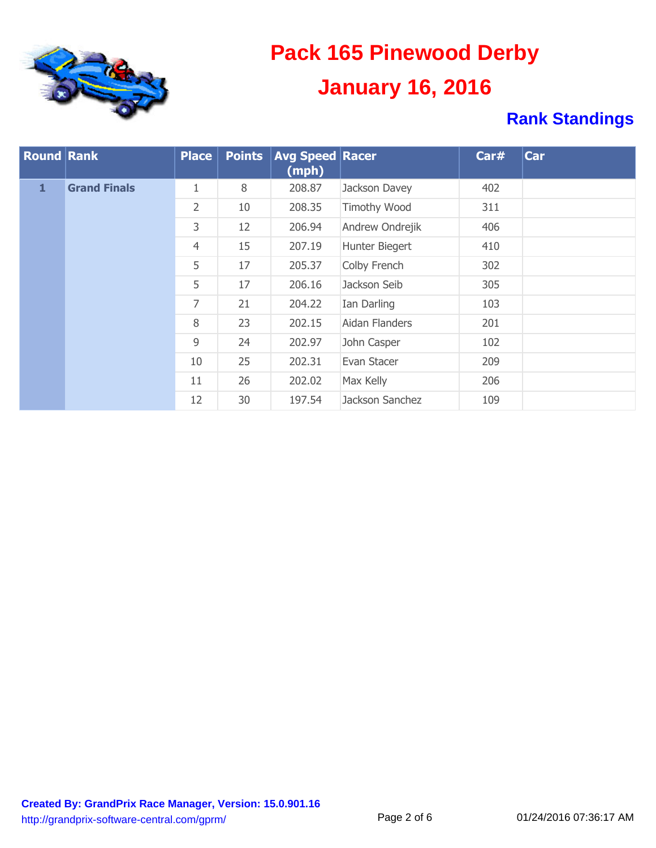

| <b>Round Rank</b> |                     | <b>Place</b>   | <b>Points</b> | <b>Avg Speed Racer</b><br>(mph) |                     | Car# | Car |
|-------------------|---------------------|----------------|---------------|---------------------------------|---------------------|------|-----|
| 1                 | <b>Grand Finals</b> | 1              | 8             | 208.87                          | Jackson Davey       | 402  |     |
|                   |                     | $\overline{2}$ | 10            | 208.35                          | <b>Timothy Wood</b> | 311  |     |
|                   |                     | 3              | 12            | 206.94                          | Andrew Ondrejik     | 406  |     |
|                   |                     | $\overline{4}$ | 15            | 207.19                          | Hunter Biegert      | 410  |     |
|                   |                     | 5              | 17            | 205.37                          | Colby French        | 302  |     |
|                   |                     | 5              | 17            | 206.16                          | Jackson Seib        | 305  |     |
|                   |                     | 7              | 21            | 204.22                          | Ian Darling         | 103  |     |
|                   |                     | 8              | 23            | 202.15                          | Aidan Flanders      | 201  |     |
|                   |                     | 9              | 24            | 202.97                          | John Casper         | 102  |     |
|                   |                     | 10             | 25            | 202.31                          | Evan Stacer         | 209  |     |
|                   |                     | 11             | 26            | 202.02                          | Max Kelly           | 206  |     |
|                   |                     | 12             | 30            | 197.54                          | Jackson Sanchez     | 109  |     |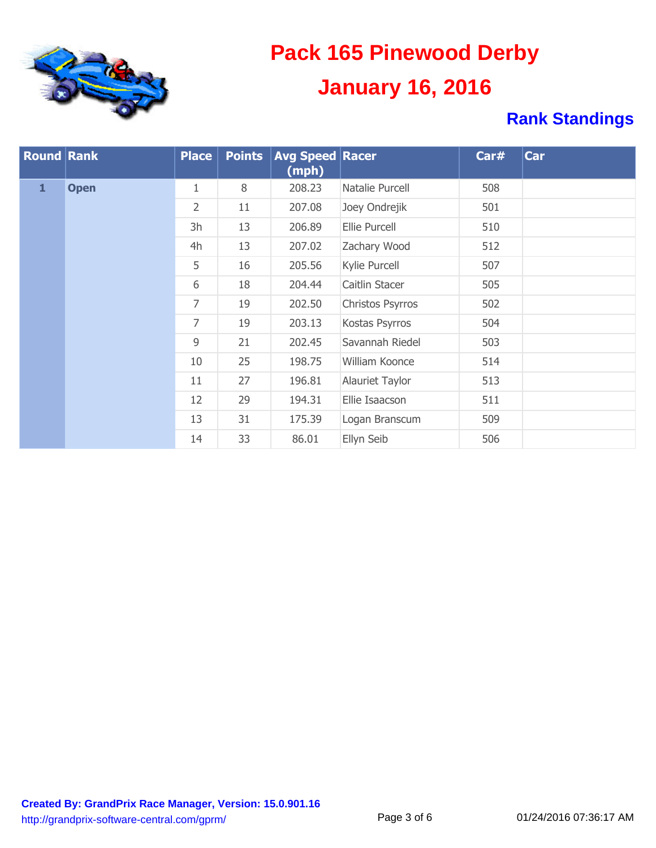

| <b>Round Rank</b> |             | <b>Place</b>       | <b>Points</b> | <b>Avg Speed Racer</b><br>(mph) |                  | Car# | Car |
|-------------------|-------------|--------------------|---------------|---------------------------------|------------------|------|-----|
| $\mathbf{1}$      | <b>Open</b> | $\mathbf{1}$       | 8             | 208.23                          | Natalie Purcell  | 508  |     |
|                   |             | $\overline{2}$     | 11            | 207.08                          | Joey Ondrejik    | 501  |     |
|                   |             | 3h<br>13<br>206.89 | Ellie Purcell | 510                             |                  |      |     |
|                   |             | 4h                 | 13            | 207.02                          | Zachary Wood     | 512  |     |
|                   |             | 5                  | 16            | 205.56                          | Kylie Purcell    | 507  |     |
|                   |             | 6                  | 18            | 204.44                          | Caitlin Stacer   | 505  |     |
|                   |             | 7                  | 19            | 202.50                          | Christos Psyrros | 502  |     |
|                   |             | 7                  | 19            | 203.13                          | Kostas Psyrros   | 504  |     |
|                   |             | 9                  | 21            | 202.45                          | Savannah Riedel  | 503  |     |
|                   |             | 10                 | 25            | 198.75                          | William Koonce   | 514  |     |
|                   |             | 11                 | 27            | 196.81                          | Alauriet Taylor  | 513  |     |
|                   |             | 12                 | 29            | 194.31                          | Ellie Isaacson   | 511  |     |
|                   |             | 13                 | 31            | 175.39                          | Logan Branscum   | 509  |     |
|                   |             | 14                 | 33            | 86.01                           | Ellyn Seib       | 506  |     |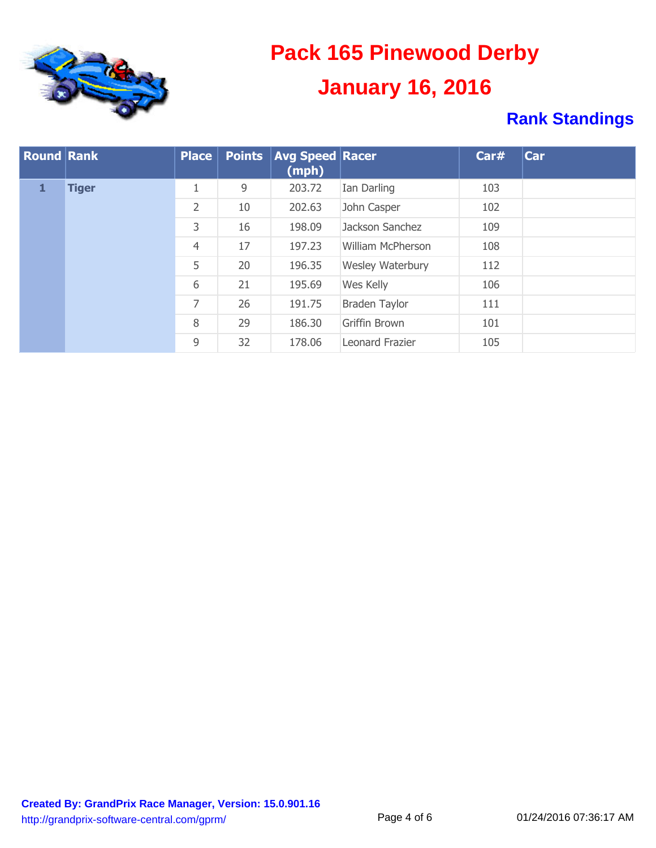

| <b>Round Rank</b> |              | Place          | <b>Points</b> | <b>Avg Speed Racer</b><br>(mph) |                          | Car# | Car |
|-------------------|--------------|----------------|---------------|---------------------------------|--------------------------|------|-----|
| 1                 | <b>Tiger</b> | 1              | 9             | 203.72                          | Ian Darling              | 103  |     |
|                   |              | 2              | 10            | 202.63<br>John Casper           |                          | 102  |     |
|                   |              | 3              | 16            | 198.09                          | Jackson Sanchez          | 109  |     |
|                   |              | $\overline{4}$ | 17            | 197.23                          | <b>William McPherson</b> | 108  |     |
|                   |              | 5              | 20            | 196.35                          | Wesley Waterbury         | 112  |     |
|                   |              | 6              | 21            | 195.69                          | Wes Kelly                | 106  |     |
|                   |              | 7              | 26            | 191.75                          | <b>Braden Taylor</b>     | 111  |     |
|                   |              | 8              | 29            | 186.30                          | <b>Griffin Brown</b>     | 101  |     |
|                   |              | 9              | 32            | 178.06                          | Leonard Frazier          | 105  |     |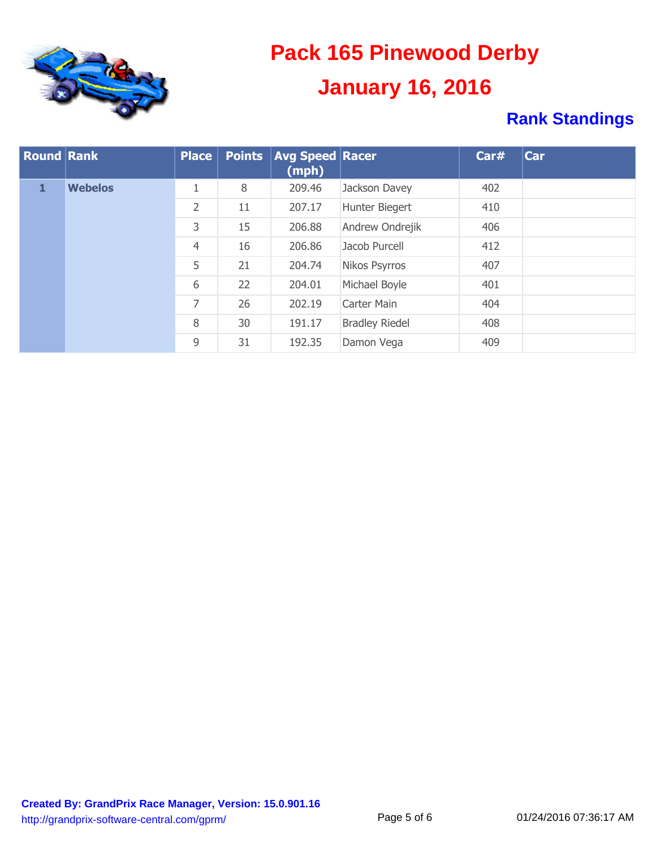

| <b>Round Rank</b> |                | Place          | <b>Points</b> | <b>Avg Speed Racer</b><br>(mph) |                       | Carr | Car |
|-------------------|----------------|----------------|---------------|---------------------------------|-----------------------|------|-----|
| 1                 | <b>Webelos</b> | 1              | 8             | 209.46                          | Jackson Davey         | 402  |     |
|                   |                | 2              | 11            | 207.17                          | Hunter Biegert        | 410  |     |
|                   |                | 3              | 15            | 206.88                          | Andrew Ondrejik       | 406  |     |
|                   |                | $\overline{4}$ | 16            | 206.86                          | Jacob Purcell         | 412  |     |
|                   |                | 5              | 21            | 204.74                          | Nikos Psyrros         | 407  |     |
|                   |                | 6              | 22            | 204.01                          | Michael Boyle         | 401  |     |
|                   |                | 7              | 26            | 202.19                          | Carter Main           | 404  |     |
|                   |                | 8              | 30            | 191.17                          | <b>Bradley Riedel</b> | 408  |     |
|                   |                | 9              | 31            | 192.35                          | Damon Vega            | 409  |     |